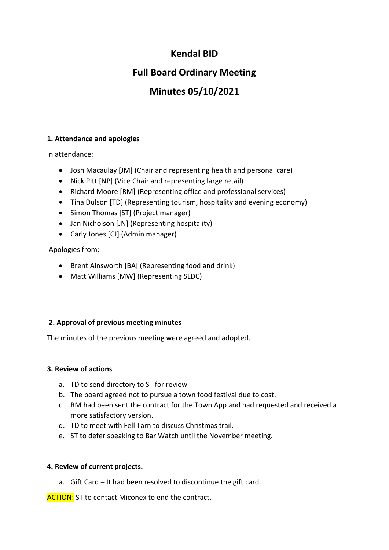## **Kendal BID**

## **Full Board Ordinary Meeting**

# **Minutes 05/10/2021**

### **1. Attendance and apologies**

In attendance:

- Josh Macaulay [JM] (Chair and representing health and personal care)
- Nick Pitt [NP] (Vice Chair and representing large retail)
- Richard Moore [RM] (Representing office and professional services)
- Tina Dulson [TD] (Representing tourism, hospitality and evening economy)
- Simon Thomas [ST] (Project manager)
- Jan Nicholson [JN] (Representing hospitality)
- Carly Jones [CJ] (Admin manager)

Apologies from:

- Brent Ainsworth [BA] (Representing food and drink)
- Matt Williams [MW] (Representing SLDC)

### **2. Approval of previous meeting minutes**

The minutes of the previous meeting were agreed and adopted.

#### **3. Review of actions**

- a. TD to send directory to ST for review
- b. The board agreed not to pursue a town food festival due to cost.
- c. RM had been sent the contract for the Town App and had requested and received a more satisfactory version.
- d. TD to meet with Fell Tarn to discuss Christmas trail.
- e. ST to defer speaking to Bar Watch until the November meeting.

### **4. Review of current projects.**

a. Gift Card – It had been resolved to discontinue the gift card.

**ACTION:** ST to contact Miconex to end the contract.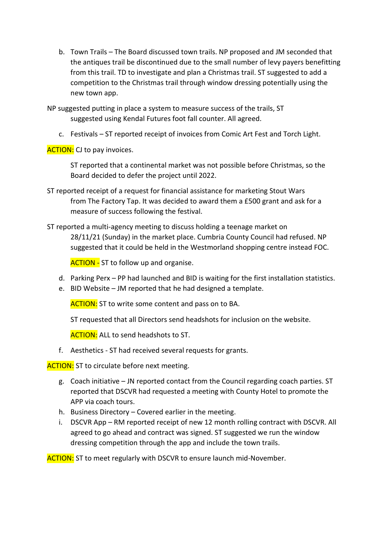b. Town Trails – The Board discussed town trails. NP proposed and JM seconded that the antiques trail be discontinued due to the small number of levy payers benefitting from this trail. TD to investigate and plan a Christmas trail. ST suggested to add a competition to the Christmas trail through window dressing potentially using the new town app.

NP suggested putting in place a system to measure success of the trails, ST suggested using Kendal Futures foot fall counter. All agreed.

c. Festivals – ST reported receipt of invoices from Comic Art Fest and Torch Light.

**ACTION:** CJ to pay invoices.

ST reported that a continental market was not possible before Christmas, so the Board decided to defer the project until 2022.

- ST reported receipt of a request for financial assistance for marketing Stout Wars from The Factory Tap. It was decided to award them a £500 grant and ask for a measure of success following the festival.
- ST reported a multi-agency meeting to discuss holding a teenage market on 28/11/21 (Sunday) in the market place. Cumbria County Council had refused. NP suggested that it could be held in the Westmorland shopping centre instead FOC.

**ACTION - ST to follow up and organise.** 

- d. Parking Perx PP had launched and BID is waiting for the first installation statistics.
- e. BID Website JM reported that he had designed a template.

**ACTION:** ST to write some content and pass on to BA.

ST requested that all Directors send headshots for inclusion on the website.

**ACTION:** ALL to send headshots to ST.

f. Aesthetics - ST had received several requests for grants.

**ACTION:** ST to circulate before next meeting.

- g. Coach initiative JN reported contact from the Council regarding coach parties. ST reported that DSCVR had requested a meeting with County Hotel to promote the APP via coach tours.
- h. Business Directory Covered earlier in the meeting.
- i. DSCVR App RM reported receipt of new 12 month rolling contract with DSCVR. All agreed to go ahead and contract was signed. ST suggested we run the window dressing competition through the app and include the town trails.

**ACTION:** ST to meet regularly with DSCVR to ensure launch mid-November.